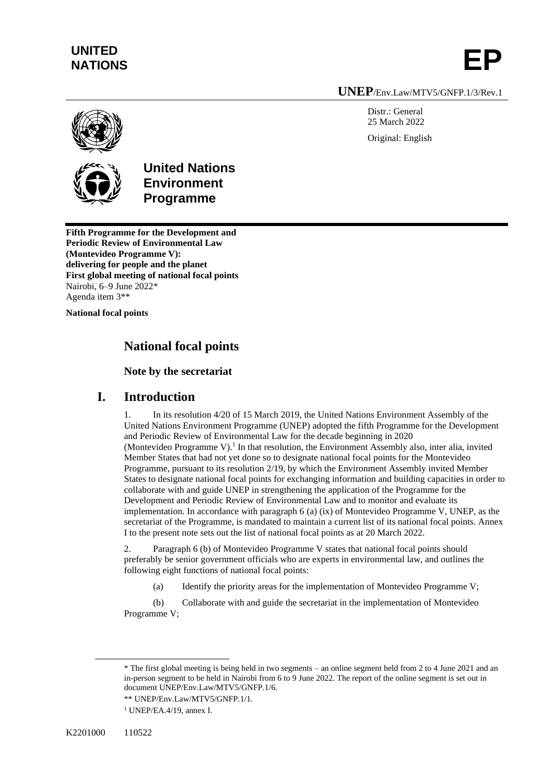## **UNITED**  UNITED<br>NATIONS **EP**

**UNEP**/Env.Law/MTV5/GNFP.1/3/Rev.1

Distr.: General 25 March 2022 Original: English



**United Nations Environment Programme**

**Fifth Programme for the Development and Periodic Review of Environmental Law (Montevideo Programme V): delivering for people and the planet First global meeting of national focal points** Nairobi, 6–9 June 2022\* Agenda item 3\*\*

**National focal points**

## **National focal points**

#### **Note by the secretariat**

### **I. Introduction**

In its resolution 4/20 of 15 March 2019, the United Nations Environment Assembly of the United Nations Environment Programme (UNEP) adopted the fifth Programme for the Development and Periodic Review of Environmental Law for the decade beginning in 2020 (Montevideo Programme V).<sup>1</sup> In that resolution, the Environment Assembly also, inter alia, invited Member States that had not yet done so to designate national focal points for the Montevideo Programme, pursuant to its resolution 2/19, by which the Environment Assembly invited Member States to designate national focal points for exchanging information and building capacities in order to collaborate with and guide UNEP in strengthening the application of the Programme for the Development and Periodic Review of Environmental Law and to monitor and evaluate its implementation. In accordance with paragraph 6 (a) (ix) of Montevideo Programme V, UNEP, as the secretariat of the Programme, is mandated to maintain a current list of its national focal points. Annex I to the present note sets out the list of national focal points as at 20 March 2022.

2. Paragraph 6 (b) of Montevideo Programme V states that national focal points should preferably be senior government officials who are experts in environmental law, and outlines the following eight functions of national focal points:

(a) Identify the priority areas for the implementation of Montevideo Programme V;

(b) Collaborate with and guide the secretariat in the implementation of Montevideo Programme V;

<sup>\*</sup> The first global meeting is being held in two segments – an online segment held from 2 to 4 June 2021 and an in-person segment to be held in Nairobi from 6 to 9 June 2022. The report of the online segment is set out in document UNEP/Env.Law/MTV5/GNFP.1/6.

<sup>\*\*</sup> UNEP/Env.Law/MTV5/GNFP.1/1.

<sup>1</sup> UNEP/EA.4/19, annex I.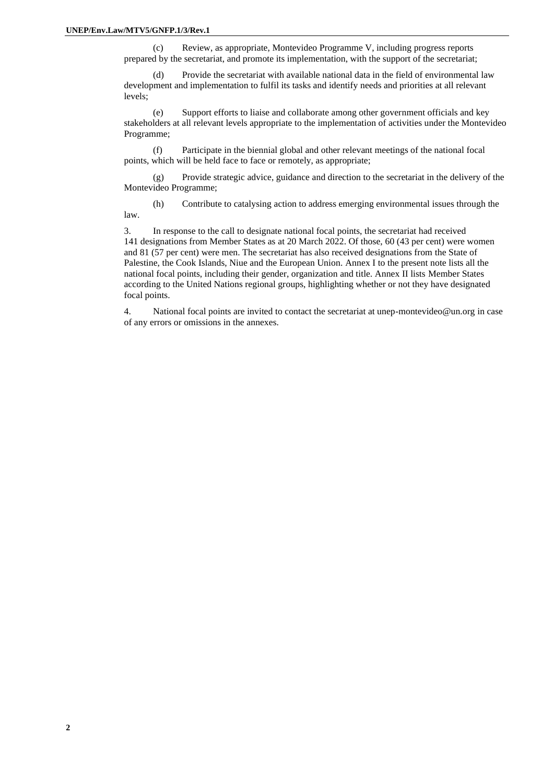(c) Review, as appropriate, Montevideo Programme V, including progress reports prepared by the secretariat, and promote its implementation, with the support of the secretariat;

(d) Provide the secretariat with available national data in the field of environmental law development and implementation to fulfil its tasks and identify needs and priorities at all relevant levels;

(e) Support efforts to liaise and collaborate among other government officials and key stakeholders at all relevant levels appropriate to the implementation of activities under the Montevideo Programme;

(f) Participate in the biennial global and other relevant meetings of the national focal points, which will be held face to face or remotely, as appropriate;

(g) Provide strategic advice, guidance and direction to the secretariat in the delivery of the Montevideo Programme;

(h) Contribute to catalysing action to address emerging environmental issues through the law.

3. In response to the call to designate national focal points, the secretariat had received 141 designations from Member States as at 20 March 2022. Of those, 60 (43 per cent) were women and 81 (57 per cent) were men. The secretariat has also received designations from the State of Palestine, the Cook Islands, Niue and the European Union. Annex I to the present note lists all the national focal points, including their gender, organization and title. Annex II lists Member States according to the United Nations regional groups, highlighting whether or not they have designated focal points.

4. National focal points are invited to contact the secretariat at unep-montevideo@un.org in case of any errors or omissions in the annexes.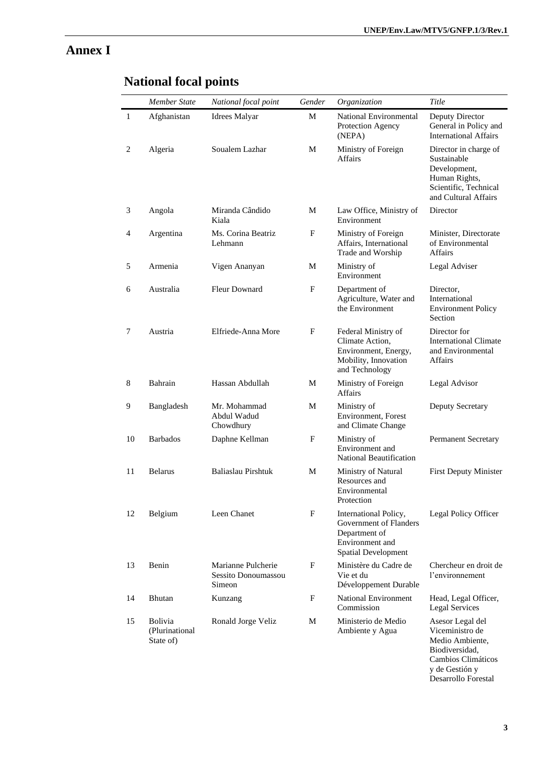## **Annex I**

|                | Member State                                  | National focal point                                | Gender | Organization                                                                                                      | Title                                                                                                                  |
|----------------|-----------------------------------------------|-----------------------------------------------------|--------|-------------------------------------------------------------------------------------------------------------------|------------------------------------------------------------------------------------------------------------------------|
| $\mathbf{1}$   | Afghanistan                                   | Idrees Malyar                                       | М      | National Environmental<br>Protection Agency<br>(NEPA)                                                             | Deputy Director<br>General in Policy and<br><b>International Affairs</b>                                               |
| $\overline{c}$ | Algeria                                       | Soualem Lazhar                                      | M      | Ministry of Foreign<br><b>Affairs</b>                                                                             | Director in charge of<br>Sustainable<br>Development,<br>Human Rights,<br>Scientific, Technical<br>and Cultural Affairs |
| 3              | Angola                                        | Miranda Cândido<br>Kiala                            | М      | Law Office, Ministry of<br>Environment                                                                            | Director                                                                                                               |
| 4              | Argentina                                     | Ms. Corina Beatriz<br>Lehmann                       | F      | Ministry of Foreign<br>Affairs, International<br>Trade and Worship                                                | Minister, Directorate<br>of Environmental<br><b>Affairs</b>                                                            |
| 5              | Armenia                                       | Vigen Ananyan                                       | M      | Ministry of<br>Environment                                                                                        | Legal Adviser                                                                                                          |
| 6              | Australia                                     | <b>Fleur Downard</b>                                | F      | Department of<br>Agriculture, Water and<br>the Environment                                                        | Director,<br>International<br><b>Environment Policy</b><br>Section                                                     |
| 7              | Austria                                       | Elfriede-Anna More                                  | F      | Federal Ministry of<br>Climate Action,<br>Environment, Energy,<br>Mobility, Innovation<br>and Technology          | Director for<br><b>International Climate</b><br>and Environmental<br><b>Affairs</b>                                    |
| 8              | Bahrain                                       | Hassan Abdullah                                     | M      | Ministry of Foreign<br><b>Affairs</b>                                                                             | Legal Advisor                                                                                                          |
| 9              | Bangladesh                                    | Mr. Mohammad<br>Abdul Wadud<br>Chowdhury            | М      | Ministry of<br>Environment, Forest<br>and Climate Change                                                          | Deputy Secretary                                                                                                       |
| 10             | <b>Barbados</b>                               | Daphne Kellman                                      | F      | Ministry of<br>Environment and<br>National Beautification                                                         | <b>Permanent Secretary</b>                                                                                             |
| 11             | <b>Belarus</b>                                | Baliaslau Pirshtuk                                  | M      | Ministry of Natural<br>Resources and<br>Environmental<br>Protection                                               | <b>First Deputy Minister</b>                                                                                           |
| 12             | Belgium                                       | Leen Chanet                                         | F      | International Policy,<br>Government of Flanders<br>Department of<br>Environment and<br><b>Spatial Development</b> | Legal Policy Officer                                                                                                   |
| 13             | Benin                                         | Marianne Pulcherie<br>Sessito Donoumassou<br>Simeon | F      | Ministère du Cadre de<br>Vie et du<br>Développement Durable                                                       | Chercheur en droit de<br>l'environnement                                                                               |
| 14             | Bhutan                                        | Kunzang                                             | F      | <b>National Environment</b><br>Commission                                                                         | Head, Legal Officer,<br><b>Legal Services</b>                                                                          |
| 15             | <b>Bolivia</b><br>(Plurinational<br>State of) | Ronald Jorge Veliz                                  | М      | Ministerio de Medio<br>Ambiente y Agua                                                                            | Asesor Legal del<br>Viceministro de<br>Medio Ambiente,<br>Biodiversidad,<br>Cambios Climáticos<br>y de Gestión y       |

# **National focal points**

Desarrollo Forestal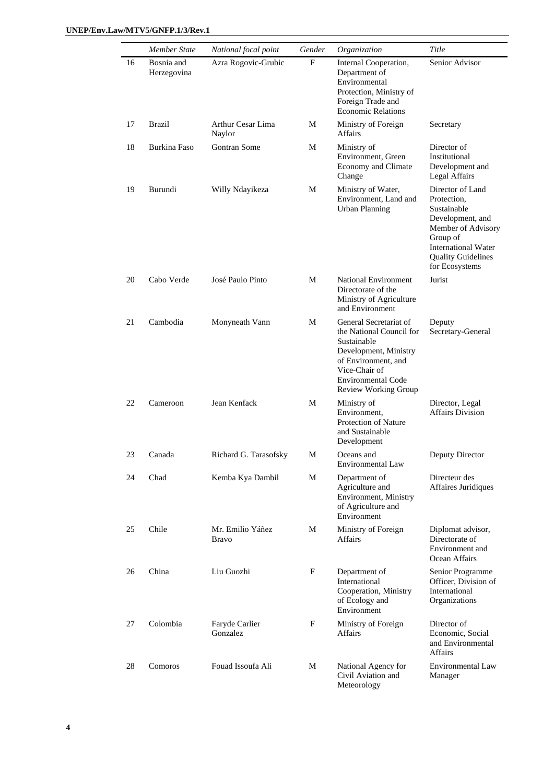|    | Member State              | National focal point             | Gender      | Organization                                                                                                                                                                            | Title                                                                                                                                                                             |
|----|---------------------------|----------------------------------|-------------|-----------------------------------------------------------------------------------------------------------------------------------------------------------------------------------------|-----------------------------------------------------------------------------------------------------------------------------------------------------------------------------------|
| 16 | Bosnia and<br>Herzegovina | Azra Rogovic-Grubic              | $\mathbf F$ | Internal Cooperation,<br>Department of<br>Environmental<br>Protection, Ministry of<br>Foreign Trade and<br><b>Economic Relations</b>                                                    | Senior Advisor                                                                                                                                                                    |
| 17 | Brazil                    | Arthur Cesar Lima<br>Naylor      | М           | Ministry of Foreign<br><b>Affairs</b>                                                                                                                                                   | Secretary                                                                                                                                                                         |
| 18 | Burkina Faso              | Gontran Some                     | М           | Ministry of<br>Environment, Green<br>Economy and Climate<br>Change                                                                                                                      | Director of<br>Institutional<br>Development and<br>Legal Affairs                                                                                                                  |
| 19 | Burundi                   | Willy Ndayikeza                  | М           | Ministry of Water,<br>Environment, Land and<br><b>Urban Planning</b>                                                                                                                    | Director of Land<br>Protection,<br>Sustainable<br>Development, and<br>Member of Advisory<br>Group of<br><b>International Water</b><br><b>Quality Guidelines</b><br>for Ecosystems |
| 20 | Cabo Verde                | José Paulo Pinto                 | М           | <b>National Environment</b><br>Directorate of the<br>Ministry of Agriculture<br>and Environment                                                                                         | Jurist                                                                                                                                                                            |
| 21 | Cambodia                  | Monyneath Vann                   | М           | General Secretariat of<br>the National Council for<br>Sustainable<br>Development, Ministry<br>of Environment, and<br>Vice-Chair of<br><b>Environmental Code</b><br>Review Working Group | Deputy<br>Secretary-General                                                                                                                                                       |
| 22 | Cameroon                  | Jean Kenfack                     | М           | Ministry of<br>Environment,<br>Protection of Nature<br>and Sustainable<br>Development                                                                                                   | Director, Legal<br><b>Affairs Division</b>                                                                                                                                        |
| 23 | Canada                    | Richard G. Tarasofsky            | M           | Oceans and<br>Environmental Law                                                                                                                                                         | Deputy Director                                                                                                                                                                   |
| 24 | Chad                      | Kemba Kya Dambil                 | M           | Department of<br>Agriculture and<br>Environment, Ministry<br>of Agriculture and<br>Environment                                                                                          | Directeur des<br>Affaires Juridiques                                                                                                                                              |
| 25 | Chile                     | Mr. Emilio Yáñez<br><b>Bravo</b> | М           | Ministry of Foreign<br>Affairs                                                                                                                                                          | Diplomat advisor,<br>Directorate of<br>Environment and<br>Ocean Affairs                                                                                                           |
| 26 | China                     | Liu Guozhi                       | F           | Department of<br>International<br>Cooperation, Ministry<br>of Ecology and<br>Environment                                                                                                | Senior Programme<br>Officer, Division of<br>International<br>Organizations                                                                                                        |
| 27 | Colombia                  | Faryde Carlier<br>Gonzalez       | F           | Ministry of Foreign<br>Affairs                                                                                                                                                          | Director of<br>Economic, Social<br>and Environmental<br>Affairs                                                                                                                   |
| 28 | Comoros                   | Fouad Issoufa Ali                | М           | National Agency for<br>Civil Aviation and<br>Meteorology                                                                                                                                | <b>Environmental Law</b><br>Manager                                                                                                                                               |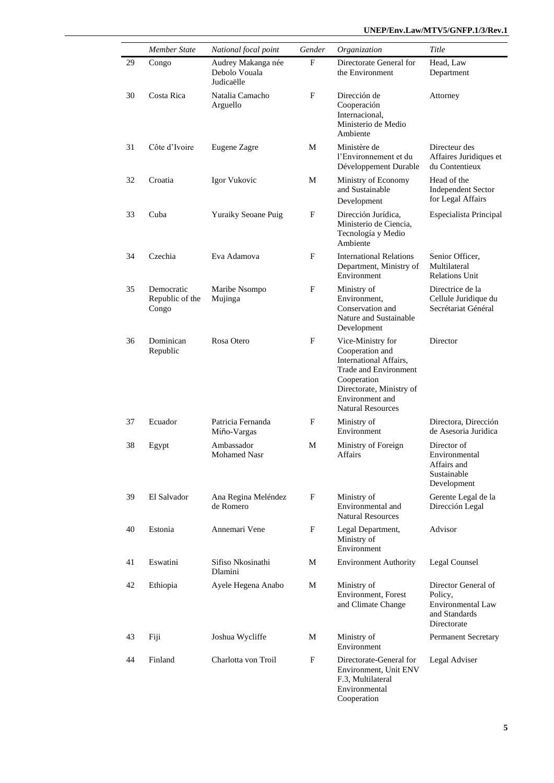|    | <b>Member State</b>                    | National focal point                              | Gender | Organization                                                                                                                                                                      | Title                                                                               |
|----|----------------------------------------|---------------------------------------------------|--------|-----------------------------------------------------------------------------------------------------------------------------------------------------------------------------------|-------------------------------------------------------------------------------------|
| 29 | Congo                                  | Audrey Makanga née<br>Debolo Vouala<br>Judicaëlle | F      | Directorate General for<br>the Environment                                                                                                                                        | Head, Law<br>Department                                                             |
| 30 | Costa Rica                             | Natalia Camacho<br>Arguello                       | F      | Dirección de<br>Cooperación<br>Internacional,<br>Ministerio de Medio<br>Ambiente                                                                                                  | Attorney                                                                            |
| 31 | Côte d'Ivoire                          | Eugene Zagre                                      | М      | Ministère de<br>l'Environnement et du<br>Développement Durable                                                                                                                    | Directeur des<br>Affaires Juridiques et<br>du Contentieux                           |
| 32 | Croatia                                | Igor Vukovic                                      | M      | Ministry of Economy<br>and Sustainable<br>Development                                                                                                                             | Head of the<br><b>Independent Sector</b><br>for Legal Affairs                       |
| 33 | Cuba                                   | <b>Yuraiky Seoane Puig</b>                        | F      | Dirección Jurídica,<br>Ministerio de Ciencia,<br>Tecnología y Medio<br>Ambiente                                                                                                   | Especialista Principal                                                              |
| 34 | Czechia                                | Eva Adamova                                       | F      | <b>International Relations</b><br>Department, Ministry of<br>Environment                                                                                                          | Senior Officer,<br>Multilateral<br><b>Relations Unit</b>                            |
| 35 | Democratic<br>Republic of the<br>Congo | Maribe Nsompo<br>Mujinga                          | F      | Ministry of<br>Environment,<br>Conservation and<br>Nature and Sustainable<br>Development                                                                                          | Directrice de la<br>Cellule Juridique du<br>Secrétariat Général                     |
| 36 | Dominican<br>Republic                  | Rosa Otero                                        | F      | Vice-Ministry for<br>Cooperation and<br>International Affairs,<br>Trade and Environment<br>Cooperation<br>Directorate, Ministry of<br>Environment and<br><b>Natural Resources</b> | Director                                                                            |
| 37 | Ecuador                                | Patricia Fernanda<br>Miño-Vargas                  | F      | Ministry of<br>Environment                                                                                                                                                        | Directora, Dirección<br>de Asesoria Juridica                                        |
| 38 | Egypt                                  | Ambassador<br>Mohamed Nasr                        | М      | Ministry of Foreign<br>Affairs                                                                                                                                                    | Director of<br>Environmental<br>Affairs and<br>Sustainable<br>Development           |
| 39 | El Salvador                            | Ana Regina Meléndez<br>de Romero                  | F      | Ministry of<br>Environmental and<br><b>Natural Resources</b>                                                                                                                      | Gerente Legal de la<br>Dirección Legal                                              |
| 40 | Estonia                                | Annemari Vene                                     | F      | Legal Department,<br>Ministry of<br>Environment                                                                                                                                   | Advisor                                                                             |
| 41 | Eswatini                               | Sifiso Nkosinathi<br>Dlamini                      | М      | <b>Environment Authority</b>                                                                                                                                                      | Legal Counsel                                                                       |
| 42 | Ethiopia                               | Ayele Hegena Anabo                                | M      | Ministry of<br>Environment, Forest<br>and Climate Change                                                                                                                          | Director General of<br>Policy,<br>Environmental Law<br>and Standards<br>Directorate |
| 43 | Fiji                                   | Joshua Wycliffe                                   | М      | Ministry of<br>Environment                                                                                                                                                        | <b>Permanent Secretary</b>                                                          |
| 44 | Finland                                | Charlotta von Troil                               | F      | Directorate-General for<br>Environment, Unit ENV<br>F.3, Multilateral<br>Environmental<br>Cooperation                                                                             | Legal Adviser                                                                       |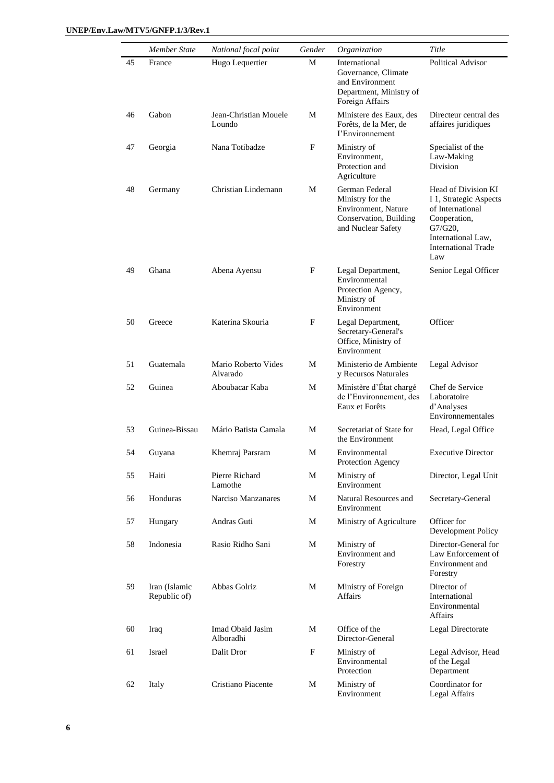|    | Member State                  | National focal point            | Gender | Organization                                                                                              | Title                                                                                                                                                      |
|----|-------------------------------|---------------------------------|--------|-----------------------------------------------------------------------------------------------------------|------------------------------------------------------------------------------------------------------------------------------------------------------------|
| 45 | France                        | Hugo Lequertier                 | М      | International<br>Governance, Climate<br>and Environment<br>Department, Ministry of<br>Foreign Affairs     | <b>Political Advisor</b>                                                                                                                                   |
| 46 | Gabon                         | Jean-Christian Mouele<br>Loundo | М      | Ministere des Eaux, des<br>Forêts, de la Mer, de<br>I'Environnement                                       | Directeur central des<br>affaires juridiques                                                                                                               |
| 47 | Georgia                       | Nana Totibadze                  | F      | Ministry of<br>Environment,<br>Protection and<br>Agriculture                                              | Specialist of the<br>Law-Making<br>Division                                                                                                                |
| 48 | Germany                       | Christian Lindemann             | М      | German Federal<br>Ministry for the<br>Environment, Nature<br>Conservation, Building<br>and Nuclear Safety | Head of Division KI<br>I 1, Strategic Aspects<br>of International<br>Cooperation,<br>$G7/G20$ ,<br>International Law,<br><b>International Trade</b><br>Law |
| 49 | Ghana                         | Abena Ayensu                    | F      | Legal Department,<br>Environmental<br>Protection Agency,<br>Ministry of<br>Environment                    | Senior Legal Officer                                                                                                                                       |
| 50 | Greece                        | Katerina Skouria                | F      | Legal Department,<br>Secretary-General's<br>Office, Ministry of<br>Environment                            | Officer                                                                                                                                                    |
| 51 | Guatemala                     | Mario Roberto Vides<br>Alvarado | М      | Ministerio de Ambiente<br>y Recursos Naturales                                                            | Legal Advisor                                                                                                                                              |
| 52 | Guinea                        | Aboubacar Kaba                  | M      | Ministère d'État chargé<br>de l'Environnement, des<br>Eaux et Forêts                                      | Chef de Service<br>Laboratoire<br>d'Analyses<br>Environnementales                                                                                          |
| 53 | Guinea-Bissau                 | Mário Batista Camala            | M      | Secretariat of State for<br>the Environment                                                               | Head, Legal Office                                                                                                                                         |
| 54 | Guyana                        | Khemraj Parsram                 | М      | Environmental<br>Protection Agency                                                                        | <b>Executive Director</b>                                                                                                                                  |
| 55 | Haiti                         | Pierre Richard<br>Lamothe       | M      | Ministry of<br>Environment                                                                                | Director, Legal Unit                                                                                                                                       |
| 56 | Honduras                      | Narciso Manzanares              | М      | Natural Resources and<br>Environment                                                                      | Secretary-General                                                                                                                                          |
| 57 | Hungary                       | Andras Guti                     | M      | Ministry of Agriculture                                                                                   | Officer for<br>Development Policy                                                                                                                          |
| 58 | Indonesia                     | Rasio Ridho Sani                | М      | Ministry of<br>Environment and<br>Forestry                                                                | Director-General for<br>Law Enforcement of<br>Environment and<br>Forestry                                                                                  |
| 59 | Iran (Islamic<br>Republic of) | Abbas Golriz                    | М      | Ministry of Foreign<br>Affairs                                                                            | Director of<br>International<br>Environmental<br>Affairs                                                                                                   |
| 60 | Iraq                          | Imad Obaid Jasim<br>Alboradhi   | М      | Office of the<br>Director-General                                                                         | Legal Directorate                                                                                                                                          |
| 61 | Israel                        | Dalit Dror                      | F      | Ministry of<br>Environmental<br>Protection                                                                | Legal Advisor, Head<br>of the Legal<br>Department                                                                                                          |
| 62 | Italy                         | Cristiano Piacente              | М      | Ministry of<br>Environment                                                                                | Coordinator for<br>Legal Affairs                                                                                                                           |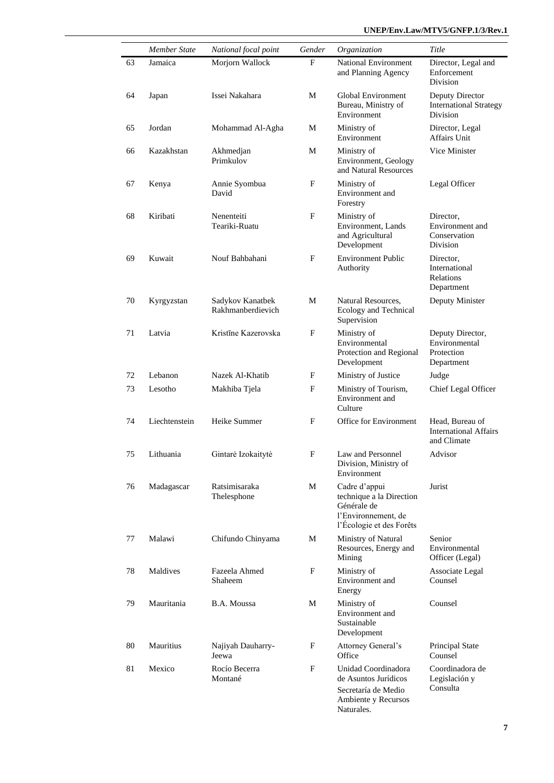|    | <b>Member State</b> | National focal point                  | Gender | Organization                                                                                                | Title                                                           |
|----|---------------------|---------------------------------------|--------|-------------------------------------------------------------------------------------------------------------|-----------------------------------------------------------------|
| 63 | Jamaica             | Morjorn Wallock                       | F      | National Environment<br>and Planning Agency                                                                 | Director, Legal and<br>Enforcement<br>Division                  |
| 64 | Japan               | Issei Nakahara                        | М      | Global Environment<br>Bureau, Ministry of<br>Environment                                                    | Deputy Director<br><b>International Strategy</b><br>Division    |
| 65 | Jordan              | Mohammad Al-Agha                      | М      | Ministry of<br>Environment                                                                                  | Director, Legal<br><b>Affairs Unit</b>                          |
| 66 | Kazakhstan          | Akhmedjan<br>Primkulov                | М      | Ministry of<br>Environment, Geology<br>and Natural Resources                                                | Vice Minister                                                   |
| 67 | Kenya               | Annie Syombua<br>David                | F      | Ministry of<br>Environment and<br>Forestry                                                                  | Legal Officer                                                   |
| 68 | Kiribati            | Nenenteiti<br>Teariki-Ruatu           | F      | Ministry of<br>Environment, Lands<br>and Agricultural<br>Development                                        | Director,<br>Environment and<br>Conservation<br><b>Division</b> |
| 69 | Kuwait              | Nouf Bahbahani                        | F      | <b>Environment Public</b><br>Authority                                                                      | Director.<br>International<br>Relations<br>Department           |
| 70 | Kyrgyzstan          | Sadykov Kanatbek<br>Rakhmanberdievich | М      | Natural Resources,<br>Ecology and Technical<br>Supervision                                                  | Deputy Minister                                                 |
| 71 | Latvia              | Kristīne Kazerovska                   | F      | Ministry of<br>Environmental<br>Protection and Regional<br>Development                                      | Deputy Director,<br>Environmental<br>Protection<br>Department   |
| 72 | Lebanon             | Nazek Al-Khatib                       | F      | Ministry of Justice                                                                                         | Judge                                                           |
| 73 | Lesotho             | Makhiba Tjela                         | F      | Ministry of Tourism,<br>Environment and<br>Culture                                                          | Chief Legal Officer                                             |
| 74 | Liechtenstein       | Heike Summer                          | F      | Office for Environment                                                                                      | Head, Bureau of<br><b>International Affairs</b><br>and Climate  |
| 75 | Lithuania           | Gintarė Izokaitytė                    | F      | Law and Personnel<br>Division, Ministry of<br>Environment                                                   | Advisor                                                         |
| 76 | Madagascar          | Ratsimisaraka<br>Thelesphone          | М      | Cadre d'appui<br>technique a la Direction<br>Générale de<br>l'Environnement, de<br>l'Écologie et des Forêts | Jurist                                                          |
| 77 | Malawi              | Chifundo Chinyama                     | М      | Ministry of Natural<br>Resources, Energy and<br>Mining                                                      | Senior<br>Environmental<br>Officer (Legal)                      |
| 78 | Maldives            | Fazeela Ahmed<br>Shaheem              | F      | Ministry of<br>Environment and<br>Energy                                                                    | Associate Legal<br>Counsel                                      |
| 79 | Mauritania          | B.A. Moussa                           | М      | Ministry of<br>Environment and<br>Sustainable<br>Development                                                | Counsel                                                         |
| 80 | Mauritius           | Najiyah Dauharry-<br>Jeewa            | F      | Attorney General's<br>Office                                                                                | <b>Principal State</b><br>Counsel                               |
| 81 | Mexico              | Rocío Becerra<br>Montané              | F      | Unidad Coordinadora<br>de Asuntos Jurídicos<br>Secretaría de Medio<br>Ambiente y Recursos<br>Naturales.     | Coordinadora de<br>Legislación y<br>Consulta                    |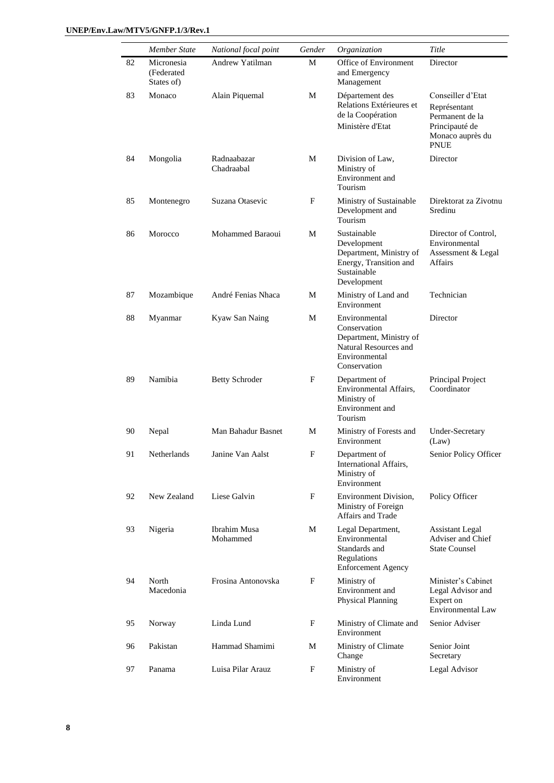|    | Member State                            | National focal point      | Gender | Organization                                                                                                       | Title                                                                                                     |
|----|-----------------------------------------|---------------------------|--------|--------------------------------------------------------------------------------------------------------------------|-----------------------------------------------------------------------------------------------------------|
| 82 | Micronesia<br>(Federated)<br>States of) | Andrew Yatilman           | M      | Office of Environment<br>and Emergency<br>Management                                                               | Director                                                                                                  |
| 83 | Monaco                                  | Alain Piquemal            | М      | Département des<br>Relations Extérieures et<br>de la Coopération<br>Ministère d'Etat                               | Conseiller d'Etat<br>Représentant<br>Permanent de la<br>Principauté de<br>Monaco auprès du<br><b>PNUE</b> |
| 84 | Mongolia                                | Radnaabazar<br>Chadraabal | М      | Division of Law,<br>Ministry of<br>Environment and<br>Tourism                                                      | Director                                                                                                  |
| 85 | Montenegro                              | Suzana Otasevic           | F      | Ministry of Sustainable<br>Development and<br>Tourism                                                              | Direktorat za Zivotnu<br>Sredinu                                                                          |
| 86 | Morocco                                 | Mohammed Baraoui          | М      | Sustainable<br>Development<br>Department, Ministry of<br>Energy, Transition and<br>Sustainable<br>Development      | Director of Control,<br>Environmental<br>Assessment & Legal<br>Affairs                                    |
| 87 | Mozambique                              | André Fenias Nhaca        | М      | Ministry of Land and<br>Environment                                                                                | Technician                                                                                                |
| 88 | Myanmar                                 | Kyaw San Naing            | М      | Environmental<br>Conservation<br>Department, Ministry of<br>Natural Resources and<br>Environmental<br>Conservation | Director                                                                                                  |
| 89 | Namibia                                 | <b>Betty Schroder</b>     | F      | Department of<br>Environmental Affairs,<br>Ministry of<br>Environment and<br>Tourism                               | Principal Project<br>Coordinator                                                                          |
| 90 | Nepal                                   | Man Bahadur Basnet        | М      | Ministry of Forests and<br>Environment                                                                             | Under-Secretary<br>(Law)                                                                                  |
| 91 | Netherlands                             | Janine Van Aalst          | F      | Department of<br>International Affairs,<br>Ministry of<br>Environment                                              | Senior Policy Officer                                                                                     |
| 92 | New Zealand                             | Liese Galvin              | F      | Environment Division,<br>Ministry of Foreign<br>Affairs and Trade                                                  | Policy Officer                                                                                            |
| 93 | Nigeria                                 | Ibrahim Musa<br>Mohammed  | M      | Legal Department,<br>Environmental<br>Standards and<br>Regulations<br><b>Enforcement Agency</b>                    | <b>Assistant Legal</b><br>Adviser and Chief<br><b>State Counsel</b>                                       |
| 94 | North<br>Macedonia                      | Frosina Antonovska        | F      | Ministry of<br>Environment and<br>Physical Planning                                                                | Minister's Cabinet<br>Legal Advisor and<br>Expert on<br>Environmental Law                                 |
| 95 | Norway                                  | Linda Lund                | F      | Ministry of Climate and<br>Environment                                                                             | Senior Adviser                                                                                            |
| 96 | Pakistan                                | Hammad Shamimi            | М      | Ministry of Climate<br>Change                                                                                      | Senior Joint<br>Secretary                                                                                 |
| 97 | Panama                                  | Luisa Pilar Arauz         | F      | Ministry of<br>Environment                                                                                         | Legal Advisor                                                                                             |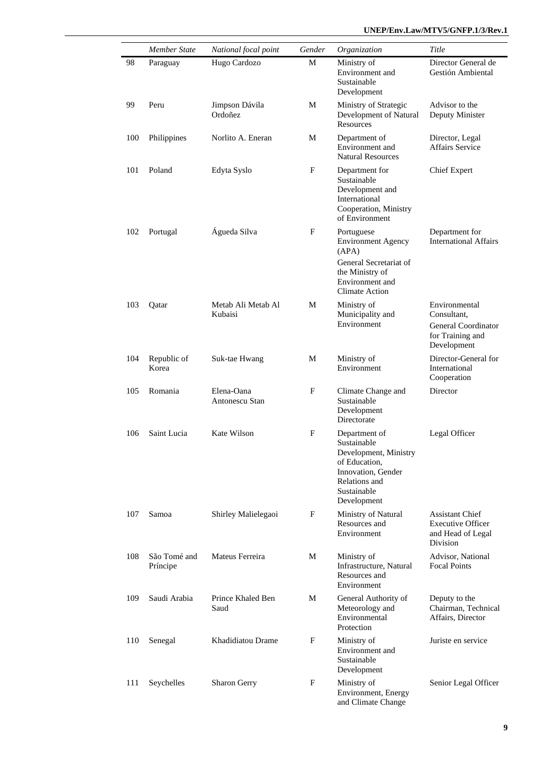|     | <b>Member State</b>      | National focal point          | Gender | Organization                                                                                                                                | Title                                                                                         |
|-----|--------------------------|-------------------------------|--------|---------------------------------------------------------------------------------------------------------------------------------------------|-----------------------------------------------------------------------------------------------|
| 98  | Paraguay                 | Hugo Cardozo                  | М      | Ministry of<br>Environment and<br>Sustainable<br>Development                                                                                | Director General de<br>Gestión Ambiental                                                      |
| 99  | Peru                     | Jimpson Dávila<br>Ordoñez     | М      | Ministry of Strategic<br>Development of Natural<br>Resources                                                                                | Advisor to the<br>Deputy Minister                                                             |
| 100 | Philippines              | Norlito A. Eneran             | М      | Department of<br>Environment and<br><b>Natural Resources</b>                                                                                | Director, Legal<br><b>Affairs Service</b>                                                     |
| 101 | Poland                   | Edyta Syslo                   | F      | Department for<br>Sustainable<br>Development and<br>International<br>Cooperation, Ministry<br>of Environment                                | Chief Expert                                                                                  |
| 102 | Portugal                 | Águeda Silva                  | F      | Portuguese<br><b>Environment Agency</b><br>(APA)<br>General Secretariat of<br>the Ministry of<br>Environment and<br><b>Climate Action</b>   | Department for<br><b>International Affairs</b>                                                |
| 103 | Qatar                    | Metab Ali Metab Al<br>Kubaisi | М      | Ministry of<br>Municipality and<br>Environment                                                                                              | Environmental<br>Consultant,<br><b>General Coordinator</b><br>for Training and<br>Development |
| 104 | Republic of<br>Korea     | Suk-tae Hwang                 | М      | Ministry of<br>Environment                                                                                                                  | Director-General for<br>International<br>Cooperation                                          |
| 105 | Romania                  | Elena-Oana<br>Antonescu Stan  | F      | Climate Change and<br>Sustainable<br>Development<br>Directorate                                                                             | Director                                                                                      |
| 106 | Saint Lucia              | Kate Wilson                   | F      | Department of<br>Sustainable<br>Development, Ministry<br>of Education,<br>Innovation, Gender<br>Relations and<br>Sustainable<br>Development | Legal Officer                                                                                 |
| 107 | Samoa                    | Shirley Malielegaoi           | F      | Ministry of Natural<br>Resources and<br>Environment                                                                                         | <b>Assistant Chief</b><br><b>Executive Officer</b><br>and Head of Legal<br>Division           |
| 108 | São Tomé and<br>Príncipe | Mateus Ferreira               | М      | Ministry of<br>Infrastructure, Natural<br>Resources and<br>Environment                                                                      | Advisor, National<br><b>Focal Points</b>                                                      |
| 109 | Saudi Arabia             | Prince Khaled Ben<br>Saud     | М      | General Authority of<br>Meteorology and<br>Environmental<br>Protection                                                                      | Deputy to the<br>Chairman, Technical<br>Affairs, Director                                     |
| 110 | Senegal                  | Khadidiatou Drame             | F      | Ministry of<br>Environment and<br>Sustainable<br>Development                                                                                | Juriste en service                                                                            |
| 111 | Seychelles               | <b>Sharon Gerry</b>           | F      | Ministry of<br>Environment, Energy<br>and Climate Change                                                                                    | Senior Legal Officer                                                                          |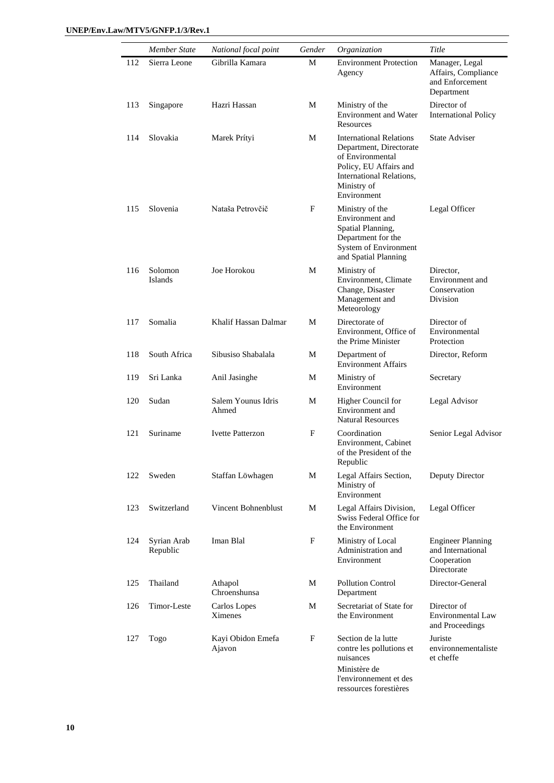|     | Member State            | National focal point        | Gender | Organization                                                                                                                                                      | Title                                                                       |
|-----|-------------------------|-----------------------------|--------|-------------------------------------------------------------------------------------------------------------------------------------------------------------------|-----------------------------------------------------------------------------|
| 112 | Sierra Leone            | Gibrilla Kamara             | М      | <b>Environment Protection</b><br>Agency                                                                                                                           | Manager, Legal<br>Affairs, Compliance<br>and Enforcement<br>Department      |
| 113 | Singapore               | Hazri Hassan                | М      | Ministry of the<br><b>Environment</b> and Water<br>Resources                                                                                                      | Director of<br><b>International Policy</b>                                  |
| 114 | Slovakia                | Marek Prítyi                | М      | <b>International Relations</b><br>Department, Directorate<br>of Environmental<br>Policy, EU Affairs and<br>International Relations,<br>Ministry of<br>Environment | <b>State Adviser</b>                                                        |
| 115 | Slovenia                | Nataša Petrovčič            | F      | Ministry of the<br>Environment and<br>Spatial Planning,<br>Department for the<br>System of Environment<br>and Spatial Planning                                    | Legal Officer                                                               |
| 116 | Solomon<br>Islands      | Joe Horokou                 | M      | Ministry of<br>Environment, Climate<br>Change, Disaster<br>Management and<br>Meteorology                                                                          | Director,<br>Environment and<br>Conservation<br>Division                    |
| 117 | Somalia                 | Khalif Hassan Dalmar        | М      | Directorate of<br>Environment, Office of<br>the Prime Minister                                                                                                    | Director of<br>Environmental<br>Protection                                  |
| 118 | South Africa            | Sibusiso Shabalala          | М      | Department of<br><b>Environment Affairs</b>                                                                                                                       | Director, Reform                                                            |
| 119 | Sri Lanka               | Anil Jasinghe               | М      | Ministry of<br>Environment                                                                                                                                        | Secretary                                                                   |
| 120 | Sudan                   | Salem Younus Idris<br>Ahmed | М      | Higher Council for<br>Environment and<br><b>Natural Resources</b>                                                                                                 | Legal Advisor                                                               |
| 121 | Suriname                | <b>Ivette Patterzon</b>     | F      | Coordination<br>Environment, Cabinet<br>of the President of the<br>Republic                                                                                       | Senior Legal Advisor                                                        |
| 122 | Sweden                  | Staffan Löwhagen            | M      | Legal Affairs Section,<br>Ministry of<br>Environment                                                                                                              | Deputy Director                                                             |
| 123 | Switzerland             | Vincent Bohnenblust         | М      | Legal Affairs Division,<br>Swiss Federal Office for<br>the Environment                                                                                            | Legal Officer                                                               |
| 124 | Syrian Arab<br>Republic | Iman Blal                   | F      | Ministry of Local<br>Administration and<br>Environment                                                                                                            | <b>Engineer Planning</b><br>and International<br>Cooperation<br>Directorate |
| 125 | Thailand                | Athapol<br>Chroenshunsa     | М      | Pollution Control<br>Department                                                                                                                                   | Director-General                                                            |
| 126 | Timor-Leste             | Carlos Lopes<br>Ximenes     | М      | Secretariat of State for<br>the Environment                                                                                                                       | Director of<br><b>Environmental Law</b><br>and Proceedings                  |
| 127 | Togo                    | Kayi Obidon Emefa<br>Ajavon | F      | Section de la lutte<br>contre les pollutions et<br>nuisances<br>Ministère de<br>l'environnement et des                                                            | Juriste<br>environnementaliste<br>et cheffe                                 |

ressources forestières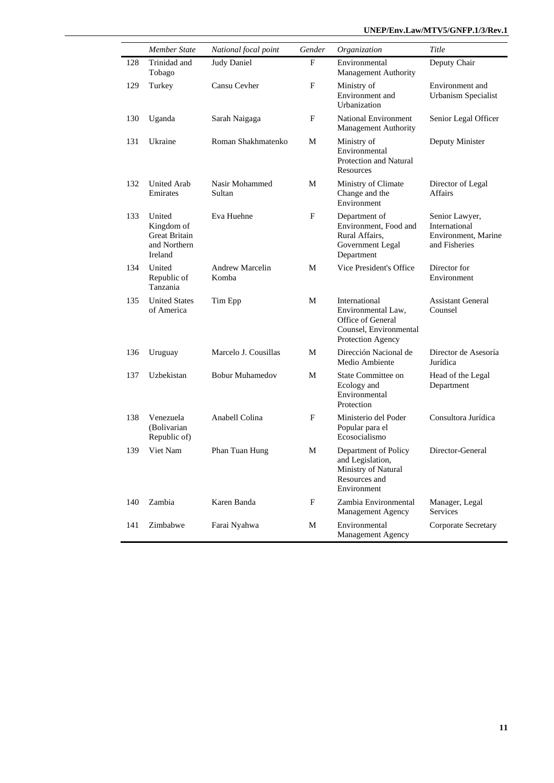|     | Member State                                                            | National focal point     | Gender     | Organization                                                                                            | Title                                                                   |
|-----|-------------------------------------------------------------------------|--------------------------|------------|---------------------------------------------------------------------------------------------------------|-------------------------------------------------------------------------|
| 128 | Trinidad and<br>Tobago                                                  | <b>Judy Daniel</b>       | F          | Environmental<br>Management Authority                                                                   | Deputy Chair                                                            |
| 129 | Turkey                                                                  | Cansu Cevher             | F          | Ministry of<br>Environment and<br>Urbanization                                                          | Environment and<br><b>Urbanism Specialist</b>                           |
| 130 | Uganda                                                                  | Sarah Naigaga            | F          | National Environment<br>Management Authority                                                            | Senior Legal Officer                                                    |
| 131 | Ukraine                                                                 | Roman Shakhmatenko       | М          | Ministry of<br>Environmental<br>Protection and Natural<br>Resources                                     | Deputy Minister                                                         |
| 132 | United Arab<br>Emirates                                                 | Nasir Mohammed<br>Sultan | M          | Ministry of Climate<br>Change and the<br>Environment                                                    | Director of Legal<br><b>Affairs</b>                                     |
| 133 | United<br>Kingdom of<br><b>Great Britain</b><br>and Northern<br>Ireland | Eva Huehne               | F          | Department of<br>Environment, Food and<br>Rural Affairs,<br>Government Legal<br>Department              | Senior Lawyer,<br>International<br>Environment, Marine<br>and Fisheries |
| 134 | United<br>Republic of<br>Tanzania                                       | Andrew Marcelin<br>Komba | M          | Vice President's Office                                                                                 | Director for<br>Environment                                             |
| 135 | <b>United States</b><br>of America                                      | Tim Epp                  | M          | International<br>Environmental Law,<br>Office of General<br>Counsel, Environmental<br>Protection Agency | <b>Assistant General</b><br>Counsel                                     |
| 136 | Uruguay                                                                 | Marcelo J. Cousillas     | M          | Dirección Nacional de<br>Medio Ambiente                                                                 | Director de Asesoría<br>Jurídica                                        |
| 137 | Uzbekistan                                                              | <b>Bobur Muhamedov</b>   | M          | State Committee on<br>Ecology and<br>Environmental<br>Protection                                        | Head of the Legal<br>Department                                         |
| 138 | Venezuela<br>(Bolivarian<br>Republic of)                                | Anabell Colina           | F          | Ministerio del Poder<br>Popular para el<br>Ecosocialismo                                                | Consultora Jurídica                                                     |
| 139 | Viet Nam                                                                | Phan Tuan Hung           | M          | Department of Policy<br>and Legislation,<br>Ministry of Natural<br>Resources and<br>Environment         | Director-General                                                        |
| 140 | Zambia                                                                  | Karen Banda              | $_{\rm F}$ | Zambia Environmental<br>Management Agency                                                               | Manager, Legal<br>Services                                              |
| 141 | Zimbabwe                                                                | Farai Nyahwa             | M          | Environmental<br>Management Agency                                                                      | Corporate Secretary                                                     |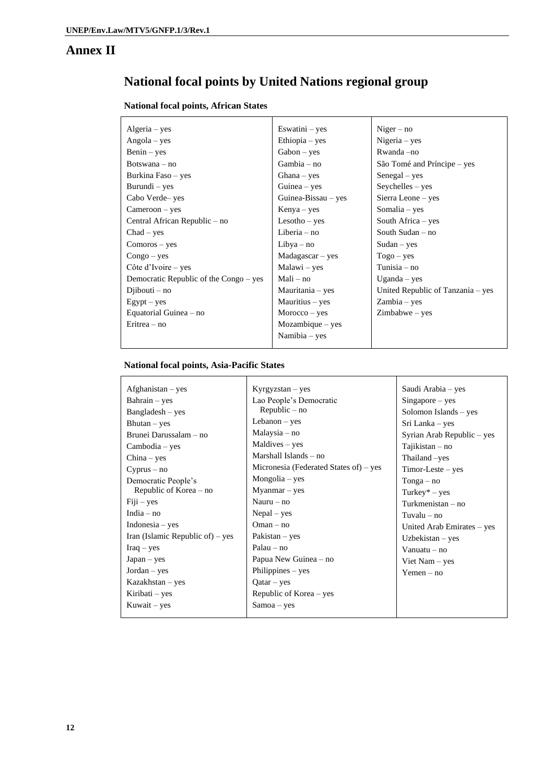### **Annex II**

# **National focal points by United Nations regional group**

#### **National focal points, African States**

| $Algeria - yes$                        | Eswatini $-$ yes    | $Niger - no$                      |
|----------------------------------------|---------------------|-----------------------------------|
| $Angola - yes$                         | $Ethiopia - yes$    | $Nigeria - yes$                   |
| $Benin - yes$                          | $Gabon - yes$       | Rwanda – no                       |
| Botswana $-$ no                        | Gambia - no         | São Tomé and Príncipe – yes       |
| Burkina Faso – yes                     | $Ghana - yes$       | $Sengal - yes$                    |
| Burundi – yes                          | Guinea $-$ yes      | $Seychelles - yes$                |
| Cabo Verde-yes                         | Guinea-Bissau - yes | Sierra Leone – yes                |
| $C$ ameroon – yes                      | $Kenya - yes$       | Somalia – yes                     |
| Central African Republic – no          | $Lesotho - yes$     | South Africa $-$ yes              |
| $Chad - yes$                           | Liberia $-$ no      | South Sudan $-$ no                |
| $Comoros - yes$                        | $Libya - no$        | $Sudan - yes$                     |
| $Congo - yes$                          | $Madagascar - yes$  | $Togo - yes$                      |
| Côte d'Ivoire $-$ yes                  | Malawi – yes        | Tunisia - no                      |
| Democratic Republic of the Congo – yes | $Mali - no$         | $U$ ganda – yes                   |
| $Di$ ibouti – no                       | Mauritania – yes    | United Republic of Tanzania – yes |
| $Egypt - yes$                          | $Mauritius - yes$   | $Zambia - yes$                    |
| Equatorial Guinea – no                 | $Moreover - yes$    | $Zimbabwe - yes$                  |
| Eritrea – no                           | Mozambique - yes    |                                   |
|                                        | Namibia – yes       |                                   |
|                                        |                     |                                   |

#### **National focal points, Asia-Pacific States**

| $A fghanistan - yes$             | $Kyrgyzstan - yes$                     | Saudi Arabia – yes         |
|----------------------------------|----------------------------------------|----------------------------|
| $Bahrain - yes$                  | Lao People's Democratic                | $Singapore - yes$          |
| $Bangladesh - yes$               | $Republic - no$                        | Solomon Islands – yes      |
| $Bhutan - yes$                   | Lebanon $-$ yes                        | Sri Lanka – yes            |
| Brunei Darussalam - no           | Malaysia – no                          | Syrian Arab Republic - yes |
| Cambodia – yes                   | Maldives – yes                         | Tajikistan – no            |
| $China - yes$                    | Marshall Islands – no                  | Thailand -yes              |
| $Cyprus - no$                    | Micronesia (Federated States of) – yes | $Timor-Leste - yes$        |
| Democratic People's              | $Mongolia - yes$                       | $Tonga - no$               |
| Republic of Korea - no           | $Myannar - yes$                        | $Turkey*-yes$              |
| $Fiji - yes$                     | Nauru $-$ no                           | $Turkmenistan - no$        |
| India $-$ no                     | $Nepal - yes$                          | Tuvalu – no                |
| $Indonesia - yes$                | $Oman - no$                            | United Arab Emirates – yes |
| Iran (Islamic Republic of) – yes | Pakistan $-$ yes                       | Uzbekistan $-$ yes         |
| $Iraq - yes$                     | $Palau - no$                           | Vanuatu $-$ no             |
| $Japan - yes$                    | Papua New Guinea – no                  | Viet Nam – yes             |
| $Jordan - yes$                   | Philippines $-$ yes                    | $Yemen - no$               |
| $Kazakhstan - yes$               | $Qatar - yes$                          |                            |
| Kiribati – yes                   | Republic of Korea – yes                |                            |
| Kuwait $-$ yes                   | $Samoa - yes$                          |                            |
|                                  |                                        |                            |